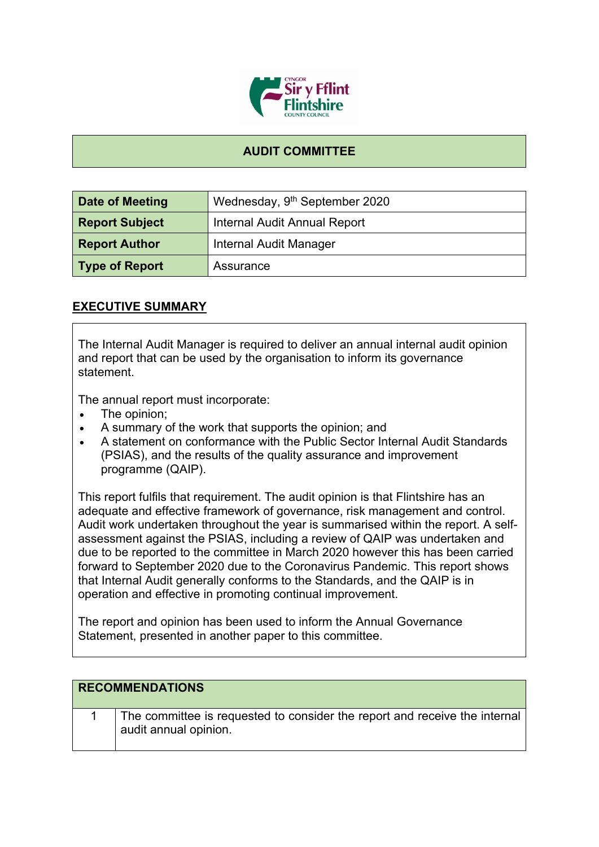

## **AUDIT COMMITTEE**

| Date of Meeting       | Wednesday, 9 <sup>th</sup> September 2020 |
|-----------------------|-------------------------------------------|
| <b>Report Subject</b> | <b>Internal Audit Annual Report</b>       |
| <b>Report Author</b>  | <b>Internal Audit Manager</b>             |
| Type of Report        | Assurance                                 |

## **EXECUTIVE SUMMARY**

The Internal Audit Manager is required to deliver an annual internal audit opinion and report that can be used by the organisation to inform its governance statement.

The annual report must incorporate:

- The opinion;
- A summary of the work that supports the opinion; and
- A statement on conformance with the Public Sector Internal Audit Standards (PSIAS), and the results of the quality assurance and improvement programme (QAIP).

This report fulfils that requirement. The audit opinion is that Flintshire has an adequate and effective framework of governance, risk management and control. Audit work undertaken throughout the year is summarised within the report. A selfassessment against the PSIAS, including a review of QAIP was undertaken and due to be reported to the committee in March 2020 however this has been carried forward to September 2020 due to the Coronavirus Pandemic. This report shows that Internal Audit generally conforms to the Standards, and the QAIP is in operation and effective in promoting continual improvement.

The report and opinion has been used to inform the Annual Governance Statement, presented in another paper to this committee.

| <b>RECOMMENDATIONS</b> |                                                                                                     |
|------------------------|-----------------------------------------------------------------------------------------------------|
|                        | The committee is requested to consider the report and receive the internal<br>audit annual opinion. |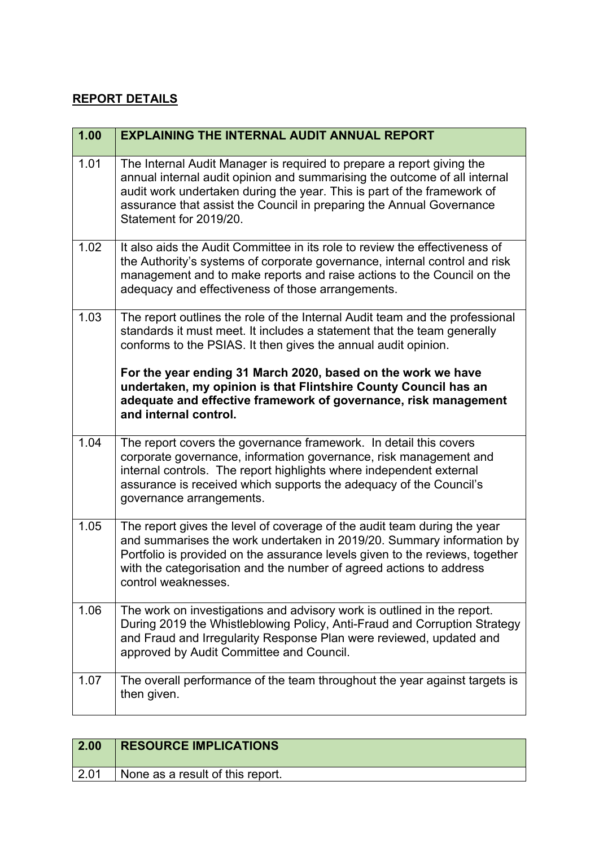## **REPORT DETAILS**

| 1.00 | <b>EXPLAINING THE INTERNAL AUDIT ANNUAL REPORT</b>                                                                                                                                                                                                                                                                              |
|------|---------------------------------------------------------------------------------------------------------------------------------------------------------------------------------------------------------------------------------------------------------------------------------------------------------------------------------|
| 1.01 | The Internal Audit Manager is required to prepare a report giving the<br>annual internal audit opinion and summarising the outcome of all internal<br>audit work undertaken during the year. This is part of the framework of<br>assurance that assist the Council in preparing the Annual Governance<br>Statement for 2019/20. |
| 1.02 | It also aids the Audit Committee in its role to review the effectiveness of<br>the Authority's systems of corporate governance, internal control and risk<br>management and to make reports and raise actions to the Council on the<br>adequacy and effectiveness of those arrangements.                                        |
| 1.03 | The report outlines the role of the Internal Audit team and the professional<br>standards it must meet. It includes a statement that the team generally<br>conforms to the PSIAS. It then gives the annual audit opinion.                                                                                                       |
|      | For the year ending 31 March 2020, based on the work we have<br>undertaken, my opinion is that Flintshire County Council has an<br>adequate and effective framework of governance, risk management<br>and internal control.                                                                                                     |
| 1.04 | The report covers the governance framework. In detail this covers<br>corporate governance, information governance, risk management and<br>internal controls. The report highlights where independent external<br>assurance is received which supports the adequacy of the Council's<br>governance arrangements.                 |
| 1.05 | The report gives the level of coverage of the audit team during the year<br>and summarises the work undertaken in 2019/20. Summary information by<br>Portfolio is provided on the assurance levels given to the reviews, together<br>with the categorisation and the number of agreed actions to address<br>control weaknesses. |
| 1.06 | The work on investigations and advisory work is outlined in the report.<br>During 2019 the Whistleblowing Policy, Anti-Fraud and Corruption Strategy<br>and Fraud and Irregularity Response Plan were reviewed, updated and<br>approved by Audit Committee and Council.                                                         |
| 1.07 | The overall performance of the team throughout the year against targets is<br>then given.                                                                                                                                                                                                                                       |

| 2.00 | <b>RESOURCE IMPLICATIONS</b>     |
|------|----------------------------------|
| 2.01 | None as a result of this report. |